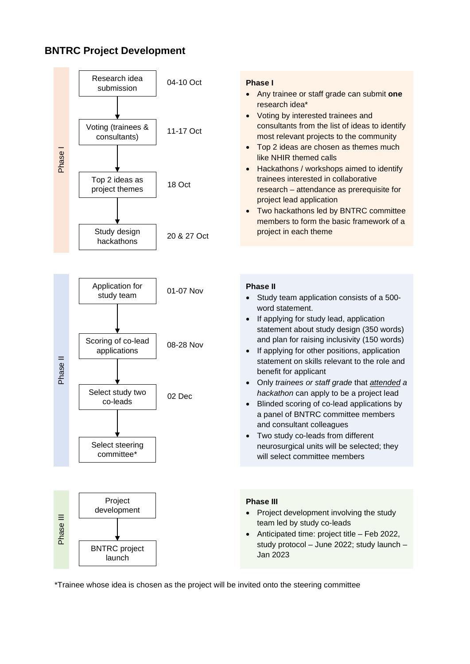# **BNTRC Project Development**



\*Trainee whose idea is chosen as the project will be invited onto the steering committee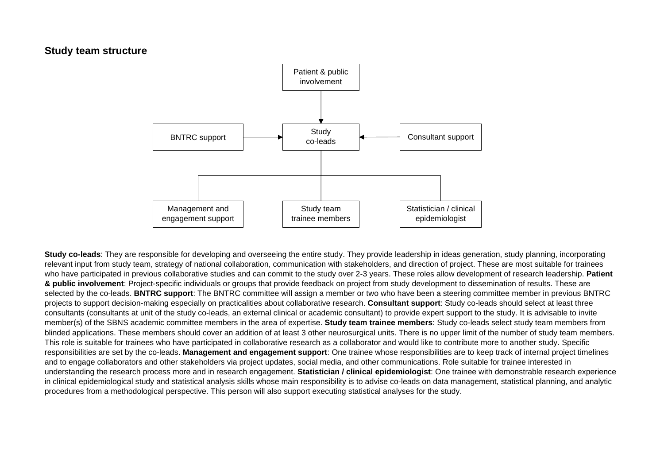## **Study team structure**



**Study co-leads**: They are responsible for developing and overseeing the entire study. They provide leadership in ideas generation, study planning, incorporating relevant input from study team, strategy of national collaboration, communication with stakeholders, and direction of project. These are most suitable for trainees who have participated in previous collaborative studies and can commit to the study over 2-3 years. These roles allow development of research leadership. **Patient & public involvement**: Project-specific individuals or groups that provide feedback on project from study development to dissemination of results. These are selected by the co-leads. **BNTRC support**: The BNTRC committee will assign a member or two who have been a steering committee member in previous BNTRC projects to support decision-making especially on practicalities about collaborative research. **Consultant support**: Study co-leads should select at least three consultants (consultants at unit of the study co-leads, an external clinical or academic consultant) to provide expert support to the study. It is advisable to invite member(s) of the SBNS academic committee members in the area of expertise. **Study team trainee members**: Study co-leads select study team members from blinded applications. These members should cover an addition of at least 3 other neurosurgical units. There is no upper limit of the number of study team members. This role is suitable for trainees who have participated in collaborative research as a collaborator and would like to contribute more to another study. Specific responsibilities are set by the co-leads. **Management and engagement support**: One trainee whose responsibilities are to keep track of internal project timelines and to engage collaborators and other stakeholders via project updates, social media, and other communications. Role suitable for trainee interested in understanding the research process more and in research engagement. **Statistician / clinical epidemiologist**: One trainee with demonstrable research experience in clinical epidemiological study and statistical analysis skills whose main responsibility is to advise co-leads on data management, statistical planning, and analytic procedures from a methodological perspective. This person will also support executing statistical analyses for the study.